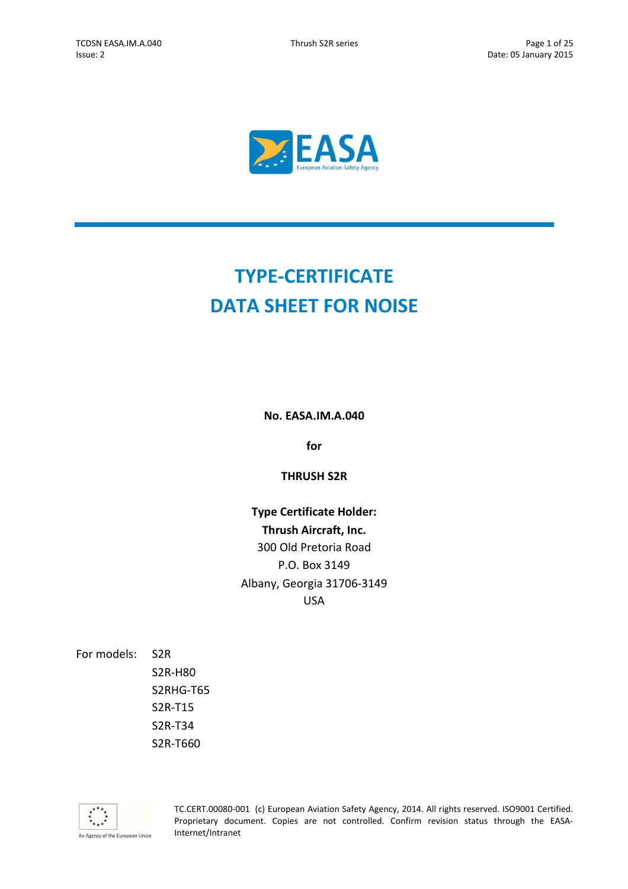

## **TYPE-CERTIFICATE DATA SHEET FOR NOISE**

**No. EASA.IM.A.040** 

**for** 

**THRUSH S2R** 

**Type Certificate Holder: Thrush Aircraft, Inc.**  300 Old Pretoria Road P.O. Box 3149 Albany, Georgia 31706-3149 USA

For models: S2R S2R-H80 S2RHG-T65 S2R-T15 S2R-T34 S2R-T660

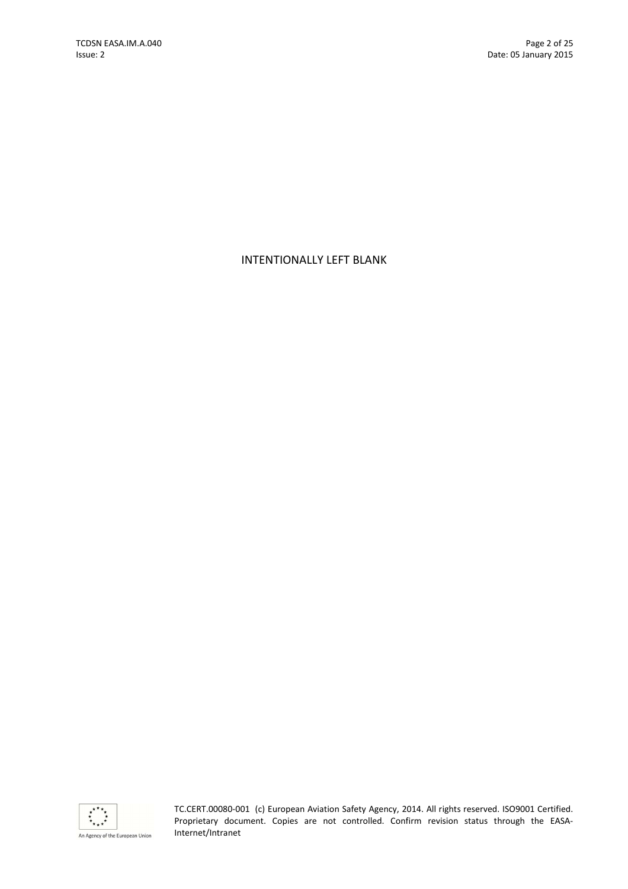## INTENTIONALLY LEFT BLANK

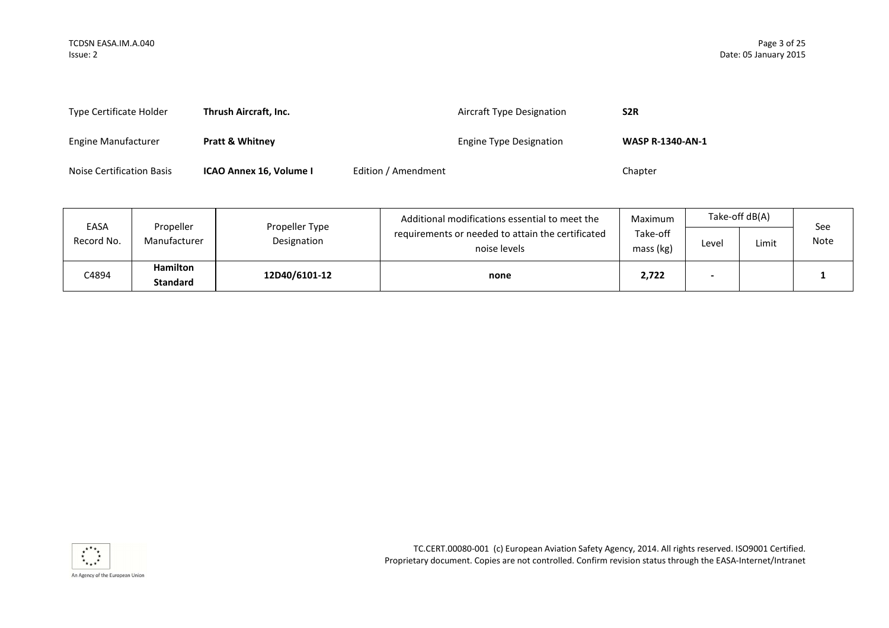| Type Certificate Holder    | Thrush Aircraft, Inc.      |                     | Aircraft Type Designation | S <sub>2</sub> R        |
|----------------------------|----------------------------|---------------------|---------------------------|-------------------------|
| <b>Engine Manufacturer</b> | <b>Pratt &amp; Whitney</b> |                     | Engine Type Designation   | <b>WASP R-1340-AN-1</b> |
| Noise Certification Basis  | ICAO Annex 16, Volume I    | Edition / Amendment |                           | Chapter                 |

| EASA       | Propeller                          | Propeller Type | Additional modifications essential to meet the                    | Maximum               | Take-off dB(A) |       | See  |
|------------|------------------------------------|----------------|-------------------------------------------------------------------|-----------------------|----------------|-------|------|
| Record No. | Manufacturer                       | Designation    | requirements or needed to attain the certificated<br>noise levels | Take-off<br>mass (kg) | Level          | Limit | Note |
| C4894      | <b>Hamilton</b><br><b>Standard</b> | 12D40/6101-12  | none                                                              | 2,722                 |                |       |      |

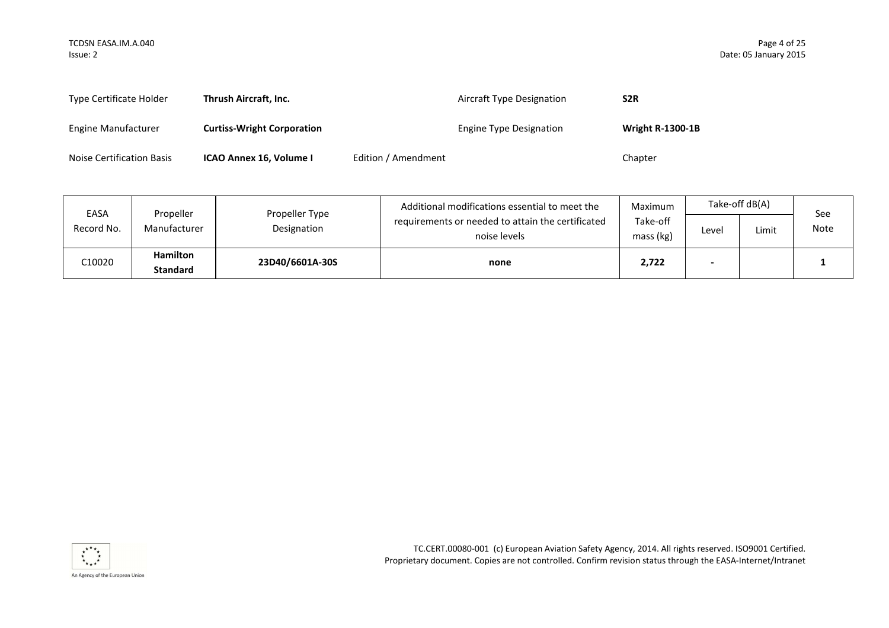TCDSN EASA.IM.A.040 Page 4 of 25

| Type Certificate Holder    | Thrush Aircraft, Inc.             |                     | Aircraft Type Designation | S <sub>2</sub> R        |
|----------------------------|-----------------------------------|---------------------|---------------------------|-------------------------|
| <b>Engine Manufacturer</b> | <b>Curtiss-Wright Corporation</b> |                     | Engine Type Designation   | <b>Wright R-1300-1B</b> |
| Noise Certification Basis  | ICAO Annex 16, Volume I           | Edition / Amendment |                           | Chapter                 |

| EASA       | Propeller                          | Propeller Type  | Additional modifications essential to meet the                    | Maximum               |       | Take-off dB(A) | See  |
|------------|------------------------------------|-----------------|-------------------------------------------------------------------|-----------------------|-------|----------------|------|
| Record No. | Manufacturer                       | Designation     | requirements or needed to attain the certificated<br>noise levels | Take-off<br>mass (kg) | Level | Limit          | Note |
| C10020     | <b>Hamilton</b><br><b>Standard</b> | 23D40/6601A-30S | none                                                              | 2,722                 |       |                |      |

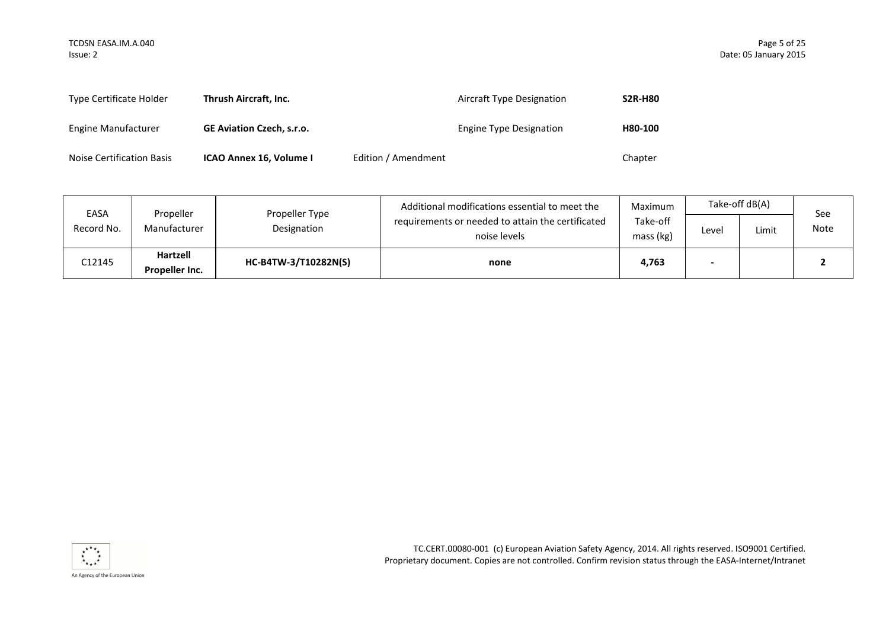TCDSN EASA.IM.A.040 Page 5 of 25

| Type Certificate Holder   | Thrush Aircraft, Inc.          |                     | Aircraft Type Designation      | <b>S2R-H80</b> |
|---------------------------|--------------------------------|---------------------|--------------------------------|----------------|
| Engine Manufacturer       | GE Aviation Czech, s.r.o.      |                     | <b>Engine Type Designation</b> | H80-100        |
| Noise Certification Basis | <b>ICAO Annex 16, Volume I</b> | Edition / Amendment |                                | Chapter        |

| EASA       | Propeller                  | Propeller Type       | Additional modifications essential to meet the                    | Maximum               |       | Take-off dB(A) | See         |
|------------|----------------------------|----------------------|-------------------------------------------------------------------|-----------------------|-------|----------------|-------------|
| Record No. | Manufacturer               | Designation          | requirements or needed to attain the certificated<br>noise levels | Take-off<br>mass (kg) | Level | Limit          | <b>Note</b> |
| C12145     | Hartzell<br>Propeller Inc. | HC-B4TW-3/T10282N(S) | none                                                              | 4,763                 |       |                |             |

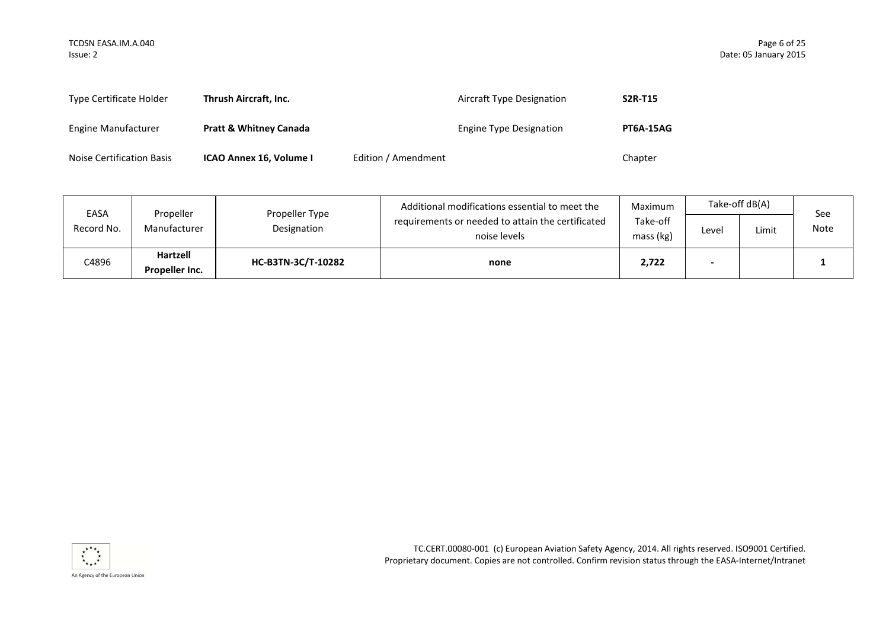TCDSN EASA.IM.A.040 Page 6 of 25

| Type Certificate Holder   | Thrush Aircraft, Inc.             |                     | Aircraft Type Designation | <b>S2R-T15</b>   |
|---------------------------|-----------------------------------|---------------------|---------------------------|------------------|
| Engine Manufacturer       | <b>Pratt &amp; Whitney Canada</b> |                     | Engine Type Designation   | <b>PT6A-15AG</b> |
| Noise Certification Basis | ICAO Annex 16, Volume I           | Edition / Amendment |                           | Chapter          |

| Propeller<br>EASA |                            | Propeller Type     | Additional modifications essential to meet the                    | Maximum               | Take-off dB(A) |       | See  |
|-------------------|----------------------------|--------------------|-------------------------------------------------------------------|-----------------------|----------------|-------|------|
| Record No.        | Manufacturer               | Designation        | requirements or needed to attain the certificated<br>noise levels | Take-off<br>mass (kg) | Level          | Limit | Note |
| C4896             | Hartzell<br>Propeller Inc. | HC-B3TN-3C/T-10282 | none                                                              | 2,722                 |                |       |      |

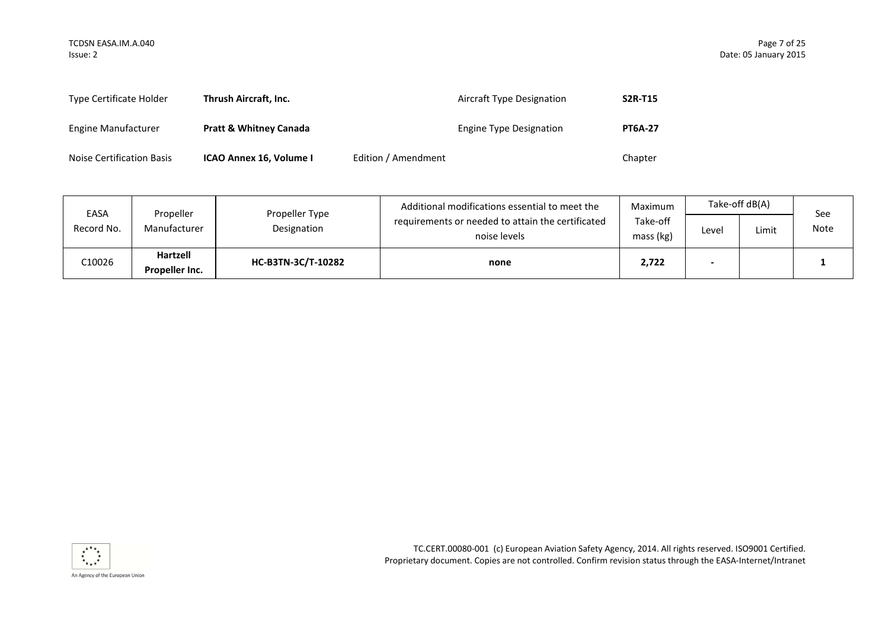TCDSN EASA.IM.A.040 Page 7 of 25

| Type Certificate Holder    | Thrush Aircraft, Inc.             |                     | Aircraft Type Designation | <b>S2R-T15</b> |
|----------------------------|-----------------------------------|---------------------|---------------------------|----------------|
| <b>Engine Manufacturer</b> | <b>Pratt &amp; Whitney Canada</b> |                     | Engine Type Designation   | <b>PT6A-27</b> |
| Noise Certification Basis  | ICAO Annex 16, Volume I           | Edition / Amendment |                           | Chapter        |

| EASA       | Propeller                  | Propeller Type     | Additional modifications essential to meet the                    | Maximum               |       | Take-off dB(A) | See  |
|------------|----------------------------|--------------------|-------------------------------------------------------------------|-----------------------|-------|----------------|------|
| Record No. | Manufacturer               | Designation        | requirements or needed to attain the certificated<br>noise levels | Take-off<br>mass (kg) | Level | Limit          | Note |
| C10026     | Hartzell<br>Propeller Inc. | HC-B3TN-3C/T-10282 | none                                                              | 2,722                 |       |                |      |

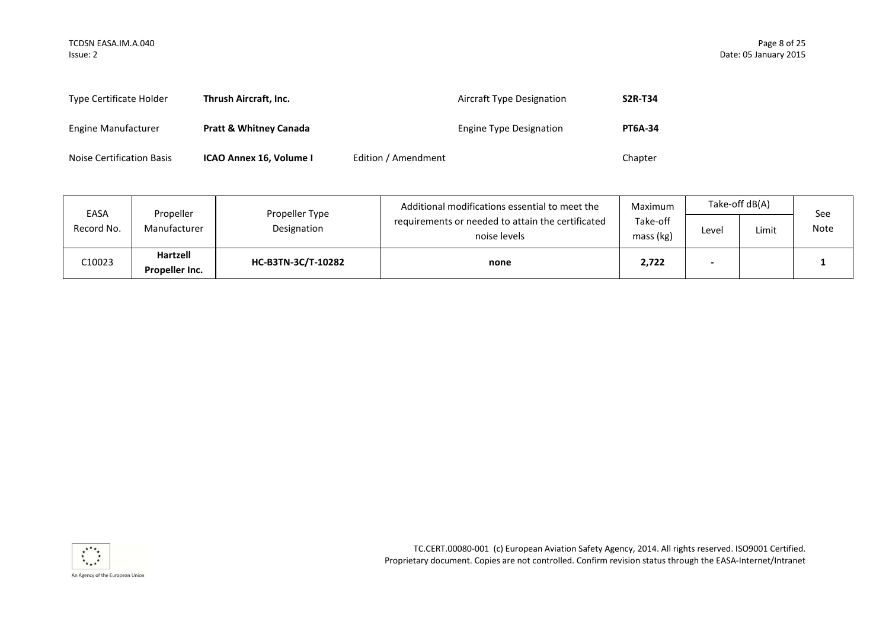TCDSN EASA.IM.A.040 Page 8 of 25

| Type Certificate Holder    | Thrush Aircraft, Inc.             |                     | Aircraft Type Designation | <b>S2R-T34</b> |
|----------------------------|-----------------------------------|---------------------|---------------------------|----------------|
| <b>Engine Manufacturer</b> | <b>Pratt &amp; Whitney Canada</b> |                     | Engine Type Designation   | <b>PT6A-34</b> |
| Noise Certification Basis  | ICAO Annex 16, Volume I           | Edition / Amendment |                           | Chapter        |

| EASA<br>Propeller |                            | Propeller Type     | Additional modifications essential to meet the                    | Maximum               |       | Take-off dB(A) | See  |
|-------------------|----------------------------|--------------------|-------------------------------------------------------------------|-----------------------|-------|----------------|------|
| Record No.        | Manufacturer               | Designation        | requirements or needed to attain the certificated<br>noise levels | Take-off<br>mass (kg) | Level | Limit          | Note |
| C10023            | Hartzell<br>Propeller Inc. | HC-B3TN-3C/T-10282 | none                                                              | 2,722                 |       |                |      |

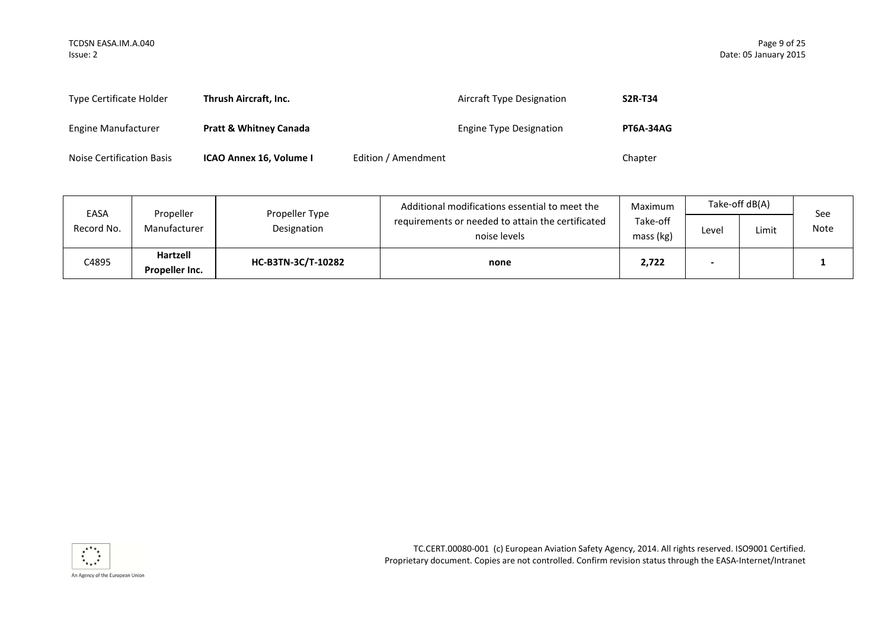TCDSN EASA.IM.A.040 Page 9 of 25

| Type Certificate Holder   | Thrush Aircraft, Inc.             |                     | Aircraft Type Designation | <b>S2R-T34</b> |
|---------------------------|-----------------------------------|---------------------|---------------------------|----------------|
| Engine Manufacturer       | <b>Pratt &amp; Whitney Canada</b> |                     | Engine Type Designation   | PT6A-34AG      |
| Noise Certification Basis | ICAO Annex 16, Volume I           | Edition / Amendment |                           | Chapter        |

| EASA<br>Propeller | Propeller Type             | Additional modifications essential to meet the | Maximum                                                           |                       | Take-off dB(A) | See   |      |
|-------------------|----------------------------|------------------------------------------------|-------------------------------------------------------------------|-----------------------|----------------|-------|------|
| Record No.        | Manufacturer               | Designation                                    | requirements or needed to attain the certificated<br>noise levels | Take-off<br>mass (kg) | Level          | Limit | Note |
| C4895             | Hartzell<br>Propeller Inc. | HC-B3TN-3C/T-10282                             | none                                                              | 2,722                 |                |       |      |

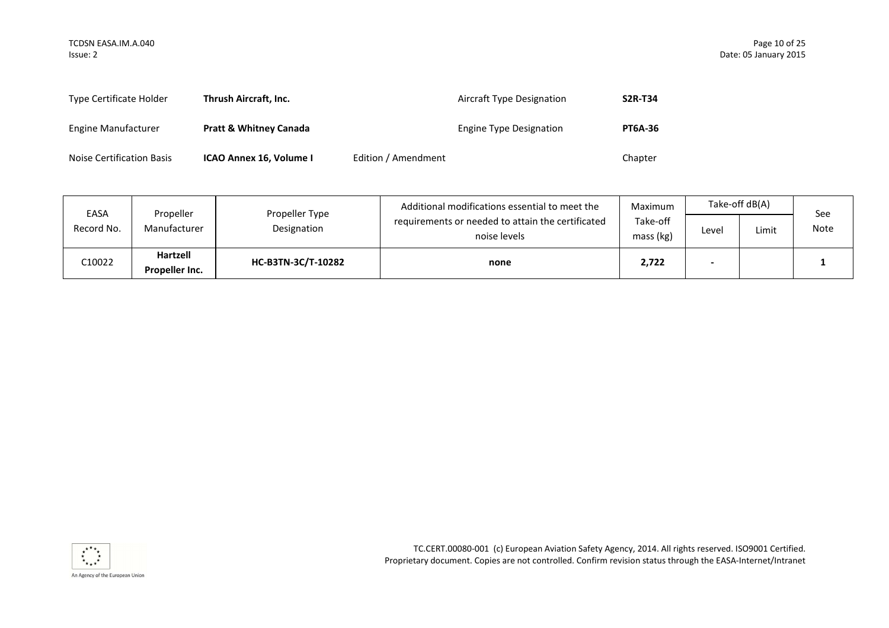TCDSN EASA.IM.A.040 Page 10 of 25

| Type Certificate Holder    | Thrush Aircraft, Inc.             |                     | Aircraft Type Designation | <b>S2R-T34</b> |
|----------------------------|-----------------------------------|---------------------|---------------------------|----------------|
| <b>Engine Manufacturer</b> | <b>Pratt &amp; Whitney Canada</b> |                     | Engine Type Designation   | <b>PT6A-36</b> |
| Noise Certification Basis  | ICAO Annex 16, Volume I           | Edition / Amendment |                           | Chapter        |

| EASA<br>Propeller | Propeller Type             | Additional modifications essential to meet the | Maximum                                                           |                       | Take-off dB(A) | See   |      |
|-------------------|----------------------------|------------------------------------------------|-------------------------------------------------------------------|-----------------------|----------------|-------|------|
| Record No.        | Manufacturer               | Designation                                    | requirements or needed to attain the certificated<br>noise levels | Take-off<br>mass (kg) | Level          | Limit | Note |
| C10022            | Hartzell<br>Propeller Inc. | HC-B3TN-3C/T-10282                             | none                                                              | 2,722                 |                |       |      |

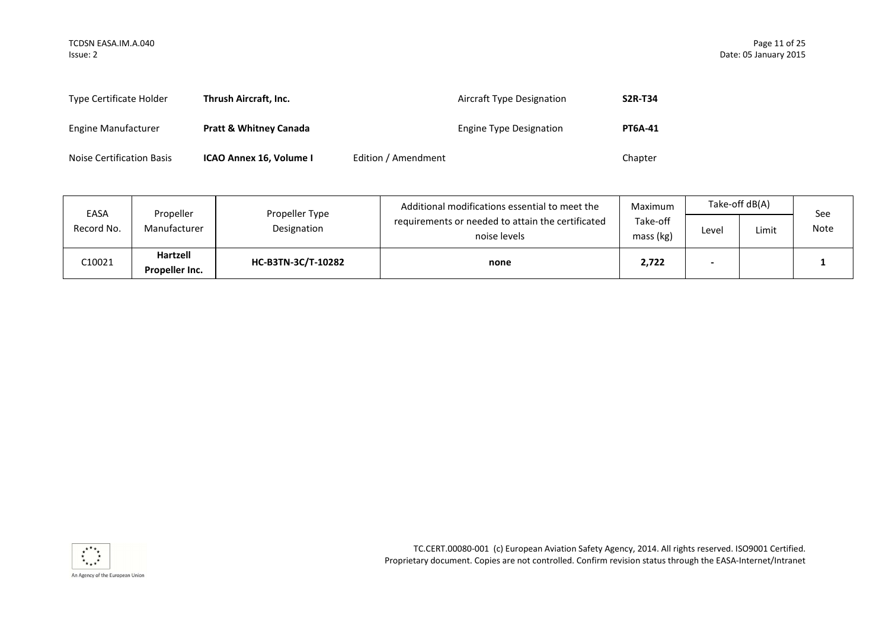TCDSN EASA.IM.A.040 Page 11 of 25

| Type Certificate Holder    | Thrush Aircraft, Inc.             |                     | Aircraft Type Designation      | <b>S2R-T34</b> |
|----------------------------|-----------------------------------|---------------------|--------------------------------|----------------|
| <b>Engine Manufacturer</b> | <b>Pratt &amp; Whitney Canada</b> |                     | <b>Engine Type Designation</b> | <b>PT6A-41</b> |
| Noise Certification Basis  | ICAO Annex 16, Volume I           | Edition / Amendment |                                | Chapter        |

| EASA<br>Propeller<br>Propeller Type | Additional modifications essential to meet the | Maximum                   |                                                                   | Take-off dB(A)        | See   |       |      |
|-------------------------------------|------------------------------------------------|---------------------------|-------------------------------------------------------------------|-----------------------|-------|-------|------|
| Record No.                          | Manufacturer                                   | Designation               | requirements or needed to attain the certificated<br>noise levels | Take-off<br>mass (kg) | Level | Limit | Note |
| C10021                              | Hartzell<br><b>Propeller Inc.</b>              | <b>HC-B3TN-3C/T-10282</b> | none                                                              | 2,722                 |       |       |      |

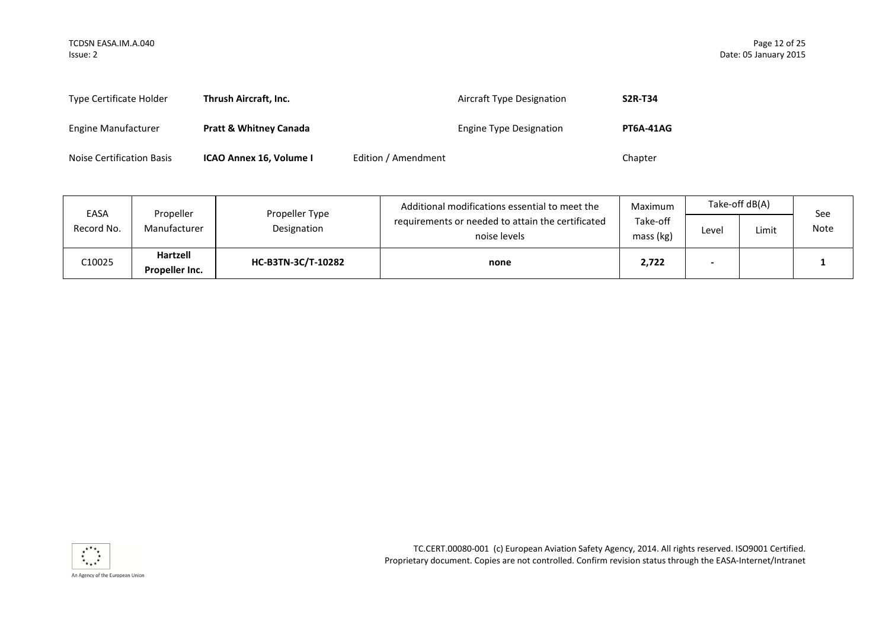TCDSN EASA.IM.A.040 Page 12 of 25

| Type Certificate Holder   | Thrush Aircraft, Inc.             |                     | Aircraft Type Designation | <b>S2R-T34</b>   |
|---------------------------|-----------------------------------|---------------------|---------------------------|------------------|
| Engine Manufacturer       | <b>Pratt &amp; Whitney Canada</b> |                     | Engine Type Designation   | <b>PT6A-41AG</b> |
| Noise Certification Basis | ICAO Annex 16, Volume I           | Edition / Amendment |                           | Chapter          |

| Propeller<br>EASA | Propeller Type             | Additional modifications essential to meet the | Maximum                                                           | Take-off dB(A)        |       | See   |      |
|-------------------|----------------------------|------------------------------------------------|-------------------------------------------------------------------|-----------------------|-------|-------|------|
| Record No.        | Manufacturer               | Designation                                    | requirements or needed to attain the certificated<br>noise levels | Take-off<br>mass (kg) | Level | Limit | Note |
| C10025            | Hartzell<br>Propeller Inc. | HC-B3TN-3C/T-10282                             | none                                                              | 2,722                 |       |       |      |

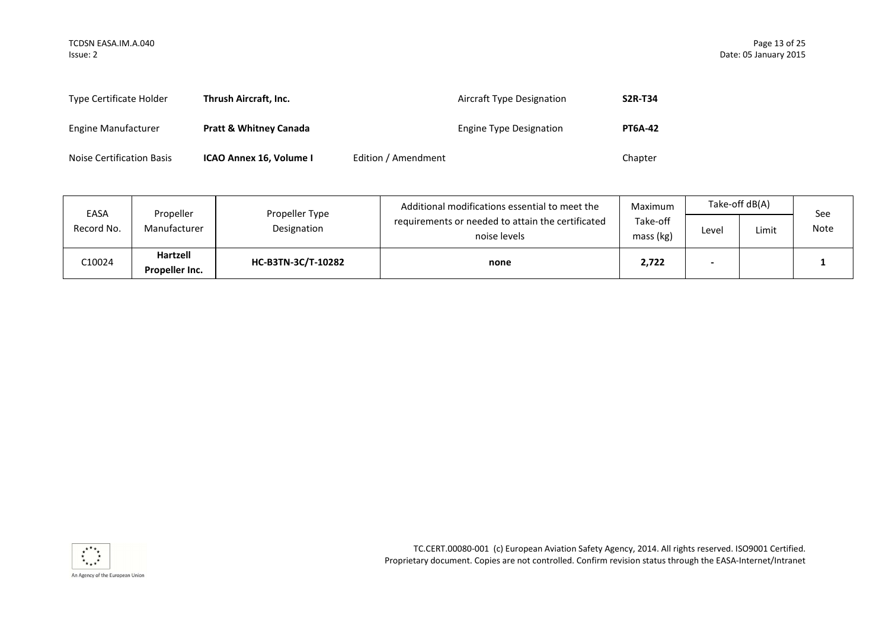TCDSN EASA.IM.A.040 Page 13 of 25

| Type Certificate Holder   | Thrush Aircraft, Inc.             |                     | Aircraft Type Designation | <b>S2R-T34</b> |
|---------------------------|-----------------------------------|---------------------|---------------------------|----------------|
| Engine Manufacturer       | <b>Pratt &amp; Whitney Canada</b> |                     | Engine Type Designation   | <b>PT6A-42</b> |
| Noise Certification Basis | ICAO Annex 16, Volume I           | Edition / Amendment |                           | Chapter        |

| EASA<br>Propeller<br>Propeller Type |                            | Additional modifications essential to meet the | Maximum                                                           |                       | Take-off dB(A) | See   |      |
|-------------------------------------|----------------------------|------------------------------------------------|-------------------------------------------------------------------|-----------------------|----------------|-------|------|
| Record No.                          | Manufacturer               | Designation                                    | requirements or needed to attain the certificated<br>noise levels | Take-off<br>mass (kg) | Level          | Limit | Note |
| C10024                              | Hartzell<br>Propeller Inc. | HC-B3TN-3C/T-10282                             | none                                                              | 2,722                 |                |       |      |

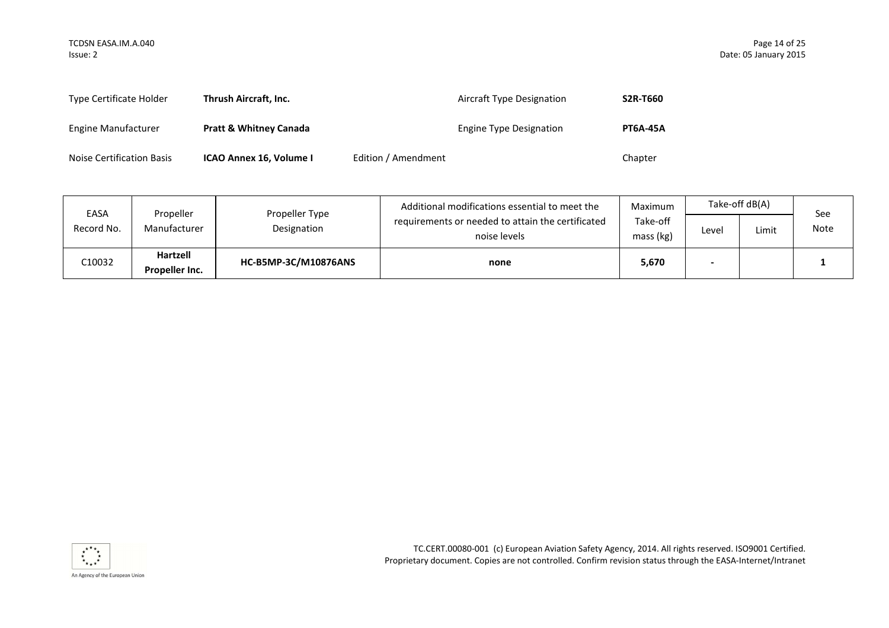TCDSN EASA.IM.A.040 Page 14 of 25

| Type Certificate Holder    | Thrush Aircraft, Inc.             |                     | Aircraft Type Designation | <b>S2R-T660</b> |
|----------------------------|-----------------------------------|---------------------|---------------------------|-----------------|
| <b>Engine Manufacturer</b> | <b>Pratt &amp; Whitney Canada</b> |                     | Engine Type Designation   | <b>PT6A-45A</b> |
| Noise Certification Basis  | ICAO Annex 16, Volume I           | Edition / Amendment |                           | Chapter         |

| EASA<br>Propeller | Propeller Type             | Additional modifications essential to meet the | Maximum                                                           |                       | Take-off dB(A) | See   |             |
|-------------------|----------------------------|------------------------------------------------|-------------------------------------------------------------------|-----------------------|----------------|-------|-------------|
| Record No.        | Manufacturer               | Designation                                    | requirements or needed to attain the certificated<br>noise levels | Take-off<br>mass (kg) | Level          | Limit | <b>Note</b> |
| C10032            | Hartzell<br>Propeller Inc. | <b>HC-B5MP-3C/M10876ANS</b>                    | none                                                              | 5,670                 |                |       |             |

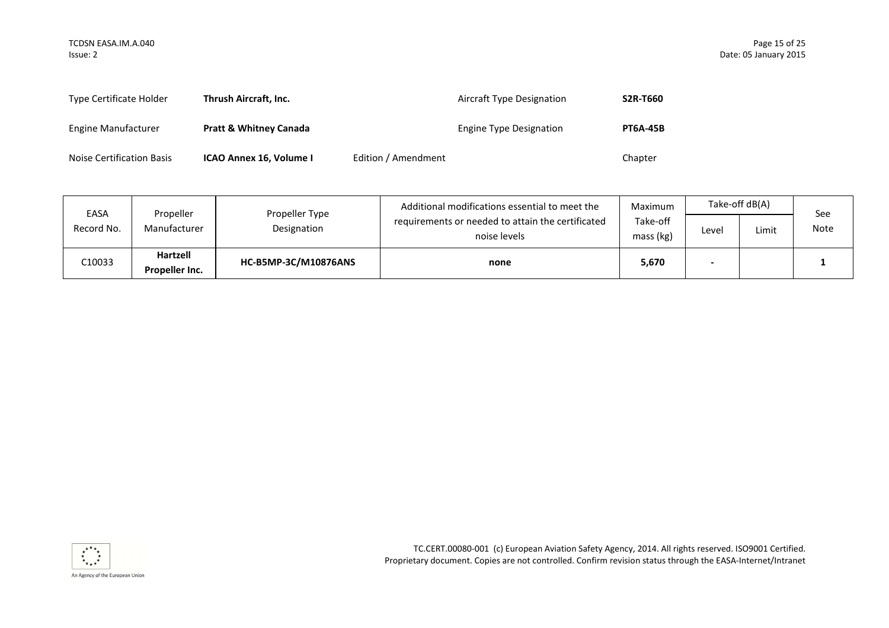TCDSN EASA.IM.A.040 Page 15 of 25

| Type Certificate Holder   | Thrush Aircraft, Inc.             |                     | Aircraft Type Designation | S2R-T660        |
|---------------------------|-----------------------------------|---------------------|---------------------------|-----------------|
| Engine Manufacturer       | <b>Pratt &amp; Whitney Canada</b> |                     | Engine Type Designation   | <b>PT6A-45B</b> |
| Noise Certification Basis | ICAO Annex 16, Volume I           | Edition / Amendment |                           | Chapter         |

| EASA       | Propeller                  | Propeller Type              | Additional modifications essential to meet the                    | Maximum               |       | Take-off dB(A) | See         |
|------------|----------------------------|-----------------------------|-------------------------------------------------------------------|-----------------------|-------|----------------|-------------|
| Record No. | Manufacturer               | Designation                 | requirements or needed to attain the certificated<br>noise levels | Take-off<br>mass (kg) | Level | Limit          | <b>Note</b> |
| C10033     | Hartzell<br>Propeller Inc. | <b>HC-B5MP-3C/M10876ANS</b> | none                                                              | 5,670                 |       |                |             |

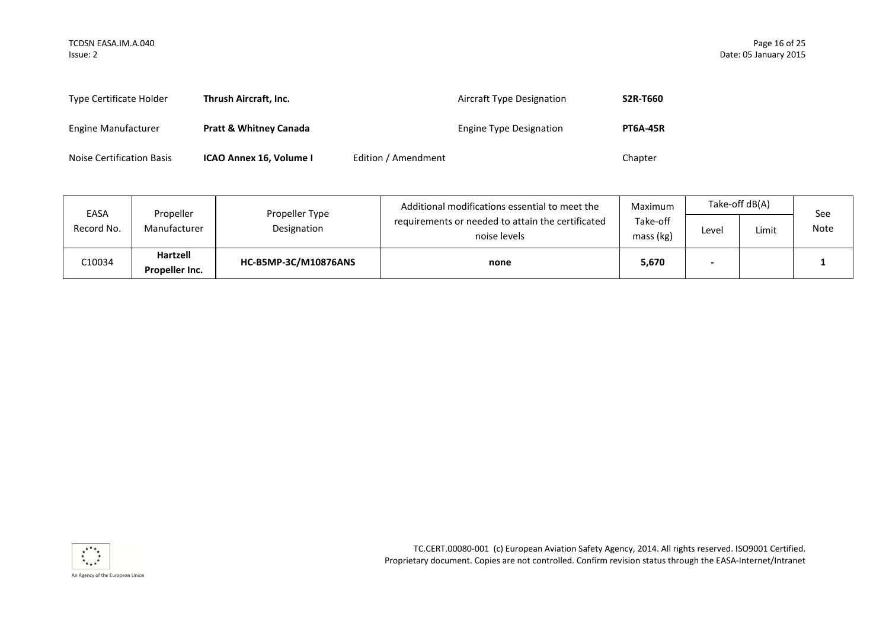TCDSN EASA.IM.A.040 Page 16 of 25

| Type Certificate Holder   | Thrush Aircraft, Inc.             |                     | Aircraft Type Designation | S2R-T660        |
|---------------------------|-----------------------------------|---------------------|---------------------------|-----------------|
| Engine Manufacturer       | <b>Pratt &amp; Whitney Canada</b> |                     | Engine Type Designation   | <b>PT6A-45R</b> |
| Noise Certification Basis | ICAO Annex 16, Volume I           | Edition / Amendment |                           | Chapter         |

| EASA<br>Propeller |                            | Propeller Type              | Additional modifications essential to meet the                    | Maximum               |       | Take-off dB(A) | See         |
|-------------------|----------------------------|-----------------------------|-------------------------------------------------------------------|-----------------------|-------|----------------|-------------|
| Record No.        | Manufacturer               | Designation                 | requirements or needed to attain the certificated<br>noise levels | Take-off<br>mass (kg) | Level | Limit          | <b>Note</b> |
| C10034            | Hartzell<br>Propeller Inc. | <b>HC-B5MP-3C/M10876ANS</b> | none                                                              | 5,670                 |       |                |             |

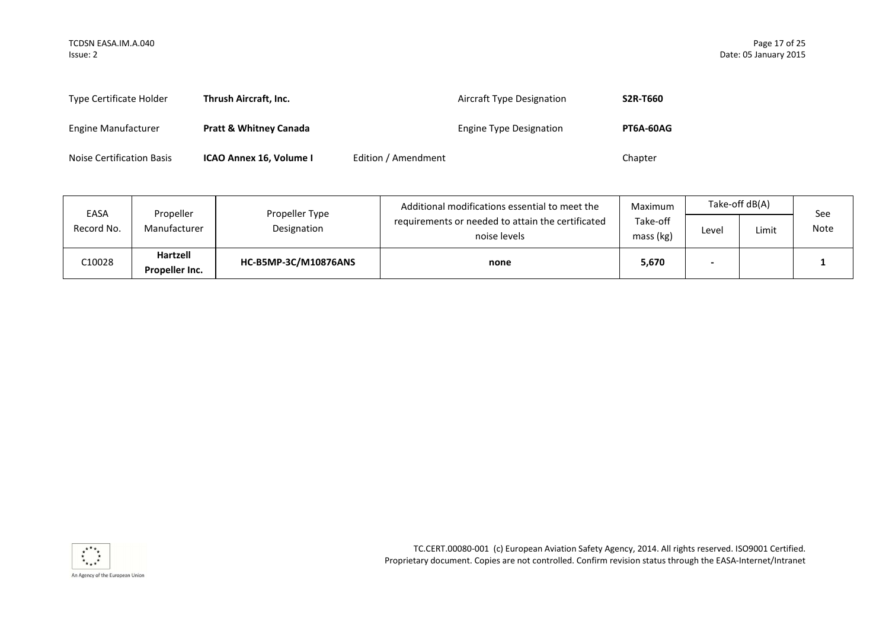TCDSN EASA.IM.A.040 Page 17 of 25

| Type Certificate Holder   | Thrush Aircraft, Inc.             |                     | Aircraft Type Designation      | S2R-T660  |
|---------------------------|-----------------------------------|---------------------|--------------------------------|-----------|
| Engine Manufacturer       | <b>Pratt &amp; Whitney Canada</b> |                     | <b>Engine Type Designation</b> | PT6A-60AG |
| Noise Certification Basis | ICAO Annex 16, Volume I           | Edition / Amendment |                                | Chapter   |

| EASA       | Propeller                  | Propeller Type              | Additional modifications essential to meet the                    | Maximum               |       | Take-off dB(A) | See         |
|------------|----------------------------|-----------------------------|-------------------------------------------------------------------|-----------------------|-------|----------------|-------------|
| Record No. | Manufacturer               | Designation                 | requirements or needed to attain the certificated<br>noise levels | Take-off<br>mass (kg) | Level | Limit          | <b>Note</b> |
| C10028     | Hartzell<br>Propeller Inc. | <b>HC-B5MP-3C/M10876ANS</b> | none                                                              | 5,670                 |       |                |             |

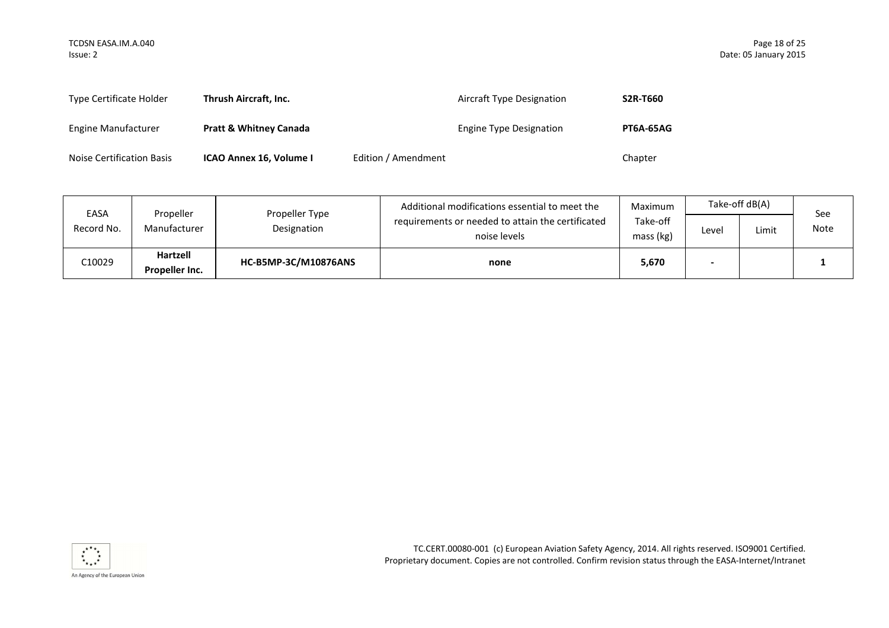TCDSN EASA.IM.A.040 Page 18 of 25

| Type Certificate Holder   | Thrush Aircraft, Inc.             |                     | Aircraft Type Designation | S2R-T660         |
|---------------------------|-----------------------------------|---------------------|---------------------------|------------------|
| Engine Manufacturer       | <b>Pratt &amp; Whitney Canada</b> |                     | Engine Type Designation   | <b>PT6A-65AG</b> |
| Noise Certification Basis | ICAO Annex 16, Volume I           | Edition / Amendment |                           | Chapter          |

| EASA       | Propeller                  | Propeller Type              | Additional modifications essential to meet the                    | Maximum               |       | Take-off dB(A) | See  |
|------------|----------------------------|-----------------------------|-------------------------------------------------------------------|-----------------------|-------|----------------|------|
| Record No. | Manufacturer               | Designation                 | requirements or needed to attain the certificated<br>noise levels | Take-off<br>mass (kg) | Level | Limit          | Note |
| C10029     | Hartzell<br>Propeller Inc. | <b>HC-B5MP-3C/M10876ANS</b> | none                                                              | 5,670                 |       |                |      |

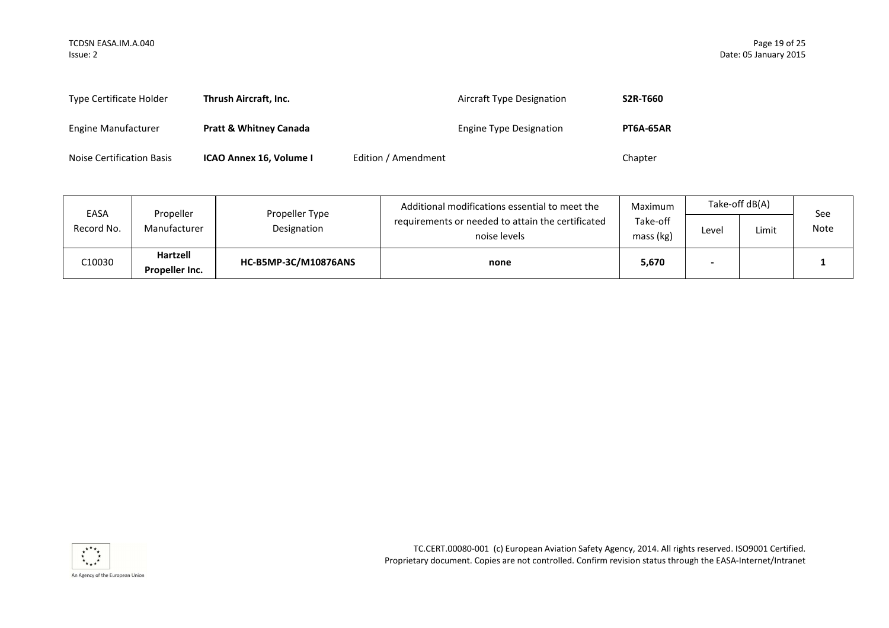TCDSN EASA.IM.A.040 Page 19 of 25

| Type Certificate Holder   | Thrush Aircraft, Inc.             |                     | Aircraft Type Designation | S2R-T660         |
|---------------------------|-----------------------------------|---------------------|---------------------------|------------------|
| Engine Manufacturer       | <b>Pratt &amp; Whitney Canada</b> |                     | Engine Type Designation   | <b>PT6A-65AR</b> |
| Noise Certification Basis | ICAO Annex 16, Volume I           | Edition / Amendment |                           | Chapter          |

| EASA       | Propeller                  | Propeller Type              | Additional modifications essential to meet the                    | Maximum               |                          | Take-off dB(A) | See  |
|------------|----------------------------|-----------------------------|-------------------------------------------------------------------|-----------------------|--------------------------|----------------|------|
| Record No. | Manufacturer               | Designation                 | requirements or needed to attain the certificated<br>noise levels | Take-off<br>mass (kg) | Level                    | Limit          | Note |
| C10030     | Hartzell<br>Propeller Inc. | <b>HC-B5MP-3C/M10876ANS</b> | none                                                              | 5,670                 | $\overline{\phantom{0}}$ |                |      |

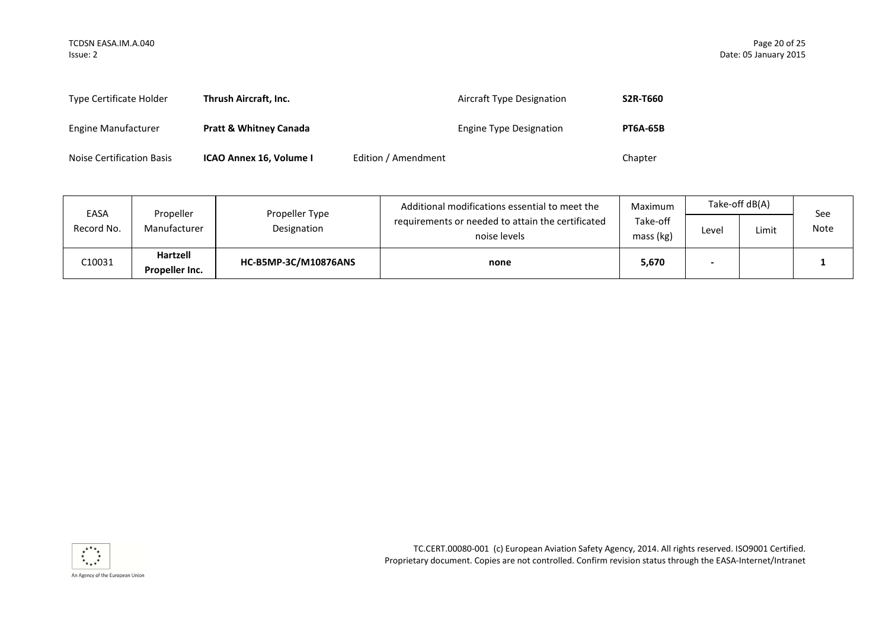TCDSN EASA.IM.A.040 Page 20 of 25

| Type Certificate Holder   | Thrush Aircraft, Inc.             |                     | Aircraft Type Designation | <b>S2R-T660</b> |
|---------------------------|-----------------------------------|---------------------|---------------------------|-----------------|
| Engine Manufacturer       | <b>Pratt &amp; Whitney Canada</b> |                     | Engine Type Designation   | <b>PT6A-65B</b> |
| Noise Certification Basis | ICAO Annex 16, Volume I           | Edition / Amendment |                           | Chapter         |

| EASA<br>Propeller |                            | Propeller Type              | Additional modifications essential to meet the                    | Maximum               | Take-off dB(A) |       | See  |
|-------------------|----------------------------|-----------------------------|-------------------------------------------------------------------|-----------------------|----------------|-------|------|
| Record No.        | Manufacturer               | Designation                 | requirements or needed to attain the certificated<br>noise levels | Take-off<br>mass (kg) | Level          | Limit | Note |
| C10031            | Hartzell<br>Propeller Inc. | <b>HC-B5MP-3C/M10876ANS</b> | none                                                              | 5,670                 |                |       |      |

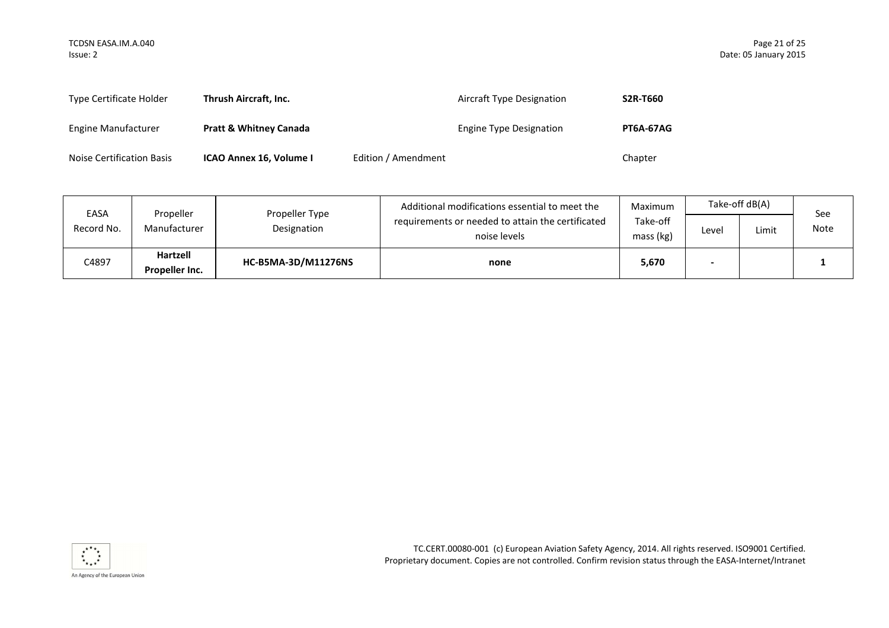TCDSN EASA.IM.A.040 Page 21 of 25

| <b>Type Certificate Holder</b> | Thrush Aircraft, Inc.             |                     | Aircraft Type Designation | <b>S2R-T660</b> |
|--------------------------------|-----------------------------------|---------------------|---------------------------|-----------------|
| Engine Manufacturer            | <b>Pratt &amp; Whitney Canada</b> |                     | Engine Type Designation   | PT6A-67AG       |
| Noise Certification Basis      | ICAO Annex 16, Volume I           | Edition / Amendment |                           | Chapter         |

| EASA                                                        | Propeller                                                         |                            | Additional modifications essential to meet the | Maximum | Take-off dB(A) |  | See |
|-------------------------------------------------------------|-------------------------------------------------------------------|----------------------------|------------------------------------------------|---------|----------------|--|-----|
| Propeller Type<br>Designation<br>Record No.<br>Manufacturer | requirements or needed to attain the certificated<br>noise levels | Take-off<br>mass (kg)      | Level                                          | Limit   | Note           |  |     |
| C4897                                                       | Hartzell<br>Propeller Inc.                                        | <b>HC-B5MA-3D/M11276NS</b> | none                                           | 5,670   |                |  |     |

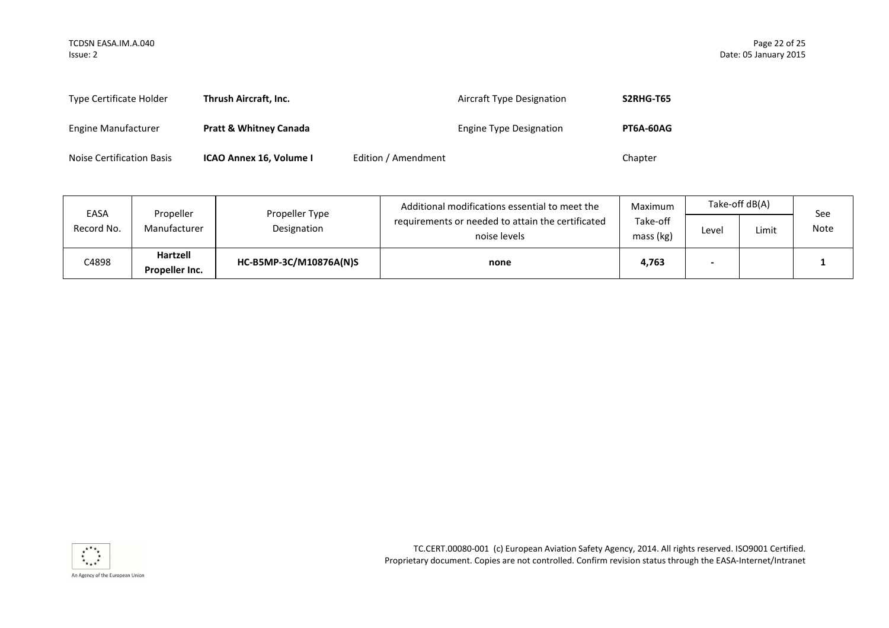TCDSN EASA.IM.A.040 Page 22 of 25

| <b>Type Certificate Holder</b> | Thrush Aircraft, Inc.             |                     | Aircraft Type Designation | S2RHG-T65 |
|--------------------------------|-----------------------------------|---------------------|---------------------------|-----------|
| Engine Manufacturer            | <b>Pratt &amp; Whitney Canada</b> |                     | Engine Type Designation   | PT6A-60AG |
| Noise Certification Basis      | ICAO Annex 16, Volume I           | Edition / Amendment |                           | Chapter   |

| EASA<br>Propeller |                                               |                        | Additional modifications essential to meet the<br>requirements or needed to attain the certificated<br>noise levels | Maximum | Take-off dB(A) |      | See |
|-------------------|-----------------------------------------------|------------------------|---------------------------------------------------------------------------------------------------------------------|---------|----------------|------|-----|
| Record No.        | Propeller Type<br>Designation<br>Manufacturer | Take-off<br>mass (kg)  |                                                                                                                     | Level   | Limit          | Note |     |
| C4898             | Hartzell<br>Propeller Inc.                    | HC-B5MP-3C/M10876A(N)S | none                                                                                                                | 4,763   |                |      |     |

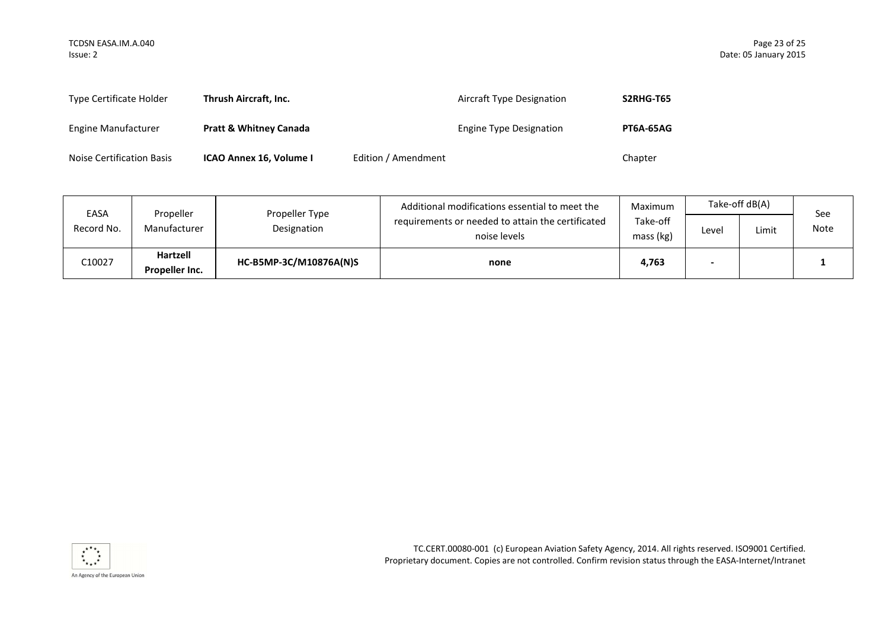TCDSN EASA.IM.A.040 Page 23 of 25

| Type Certificate Holder          | Thrush Aircraft, Inc.             |                     | Aircraft Type Designation | S2RHG-T65        |
|----------------------------------|-----------------------------------|---------------------|---------------------------|------------------|
| Engine Manufacturer              | <b>Pratt &amp; Whitney Canada</b> |                     | Engine Type Designation   | <b>PT6A-65AG</b> |
| <b>Noise Certification Basis</b> | ICAO Annex 16, Volume I           | Edition / Amendment |                           | Chapter          |

| EASA<br>Propeller                                           |                                                                   |                        | Additional modifications essential to meet the | Maximum | Take-off dB(A) |  | See<br>Note |
|-------------------------------------------------------------|-------------------------------------------------------------------|------------------------|------------------------------------------------|---------|----------------|--|-------------|
| Propeller Type<br>Record No.<br>Designation<br>Manufacturer | requirements or needed to attain the certificated<br>noise levels | Take-off<br>mass (kg)  | Level                                          | Limit   |                |  |             |
| C10027                                                      | Hartzell<br>Propeller Inc.                                        | HC-B5MP-3C/M10876A(N)S | none                                           | 4,763   |                |  |             |

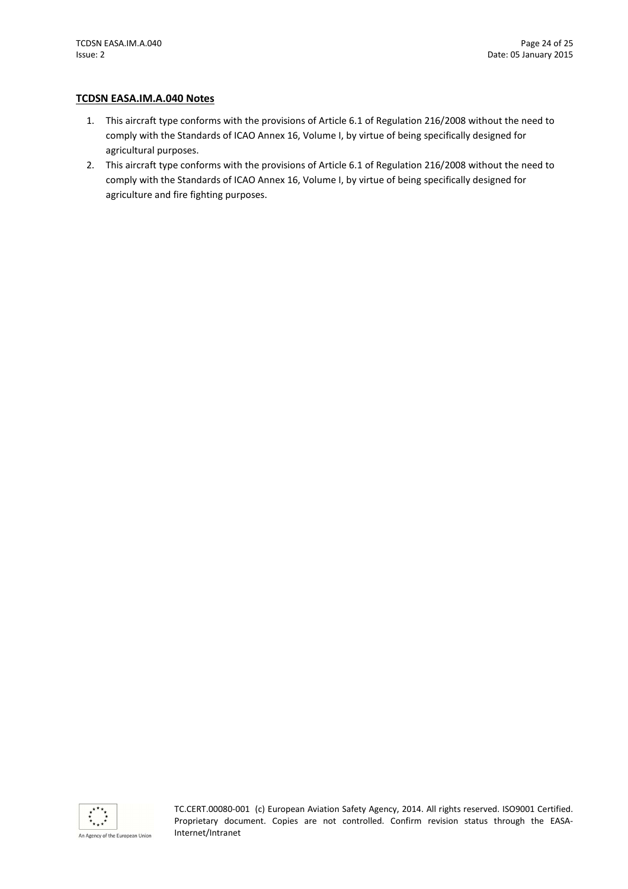## **TCDSN EASA.IM.A.040 Notes**

- 1. This aircraft type conforms with the provisions of Article 6.1 of Regulation 216/2008 without the need to comply with the Standards of ICAO Annex 16, Volume I, by virtue of being specifically designed for agricultural purposes.
- 2. This aircraft type conforms with the provisions of Article 6.1 of Regulation 216/2008 without the need to comply with the Standards of ICAO Annex 16, Volume I, by virtue of being specifically designed for agriculture and fire fighting purposes.